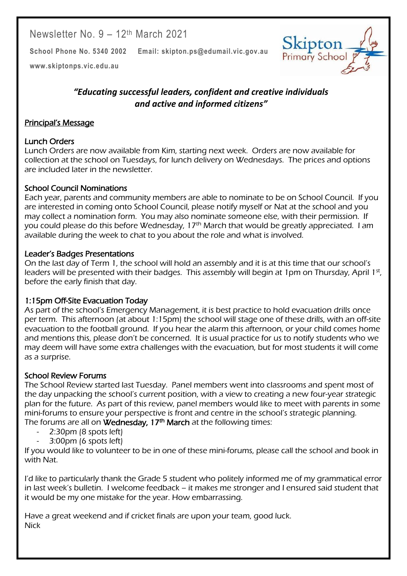Newsletter No. 9 – 12th March 2021

**School Phone No. 5340 2002 Email: skipton.ps@edumail.vic.gov.au**



Centacare South West

**[www.skiptonps.vic.edu.au](http://www.skiptonps.vic.edu.au/)**

## *"Educating successful leaders, confident and creative individuals and active and informed citizens"*

#### Principal's Message

### Lunch Orders

Lunch Orders are now available from Kim, starting next week. Orders are now available for collection at the school on Tuesdays, for lunch delivery on Wednesdays. The prices and options are included later in the newsletter.

#### School Council Nominations

Each year, parents and community members are able to nominate to be on School Council. If you are interested in coming onto School Council, please notify myself or Nat at the school and you may collect a nomination form. You may also nominate someone else, with their permission. If you could please do this before Wednesday, 17<sup>th</sup> March that would be greatly appreciated. I am available during the week to chat to you about the role and what is involved.

#### Leader's Badges Presentations

On the last day of Term 1, the school will hold an assembly and it is at this time that our school's leaders will be presented with their badges. This assembly will begin at 1pm on Thursday, April 1st, before the early finish that day.

## 1:15pm Off-Site Evacuation Today

As part of the school's Emergency Management, it is best practice to hold evacuation drills once per term. This afternoon (at about 1:15pm) the school will stage one of these drills, with an off-site evacuation to the football ground. If you hear the alarm this afternoon, or your child comes home and mentions this, please don't be concerned. It is usual practice for us to notify students who we may deem will have some extra challenges with the evacuation, but for most students it will come as a surprise.

## School Review Forums

The School Review started last Tuesday. Panel members went into classrooms and spent most of the day unpacking the school's current position, with a view to creating a new four-year strategic plan for the future. As part of this review, panel members would like to meet with parents in some mini-forums to ensure your perspective is front and centre in the school's strategic planning. The forums are all on **Wednesday, 17<sup>th</sup> March** at the following times:

- 2:30pm (8 spots left)
- 3:00pm (6 spots left)

If you would like to volunteer to be in one of these mini-forums, please call the school and book in with Nat.

I'd like to particularly thank the Grade 5 student who politely informed me of my grammatical error in last week's bulletin. I welcome feedback – it makes me stronger and I ensured said student that it would be my one mistake for the year. How embarrassing.

Have a great weekend and if cricket finals are upon your team, good luck. **Nick**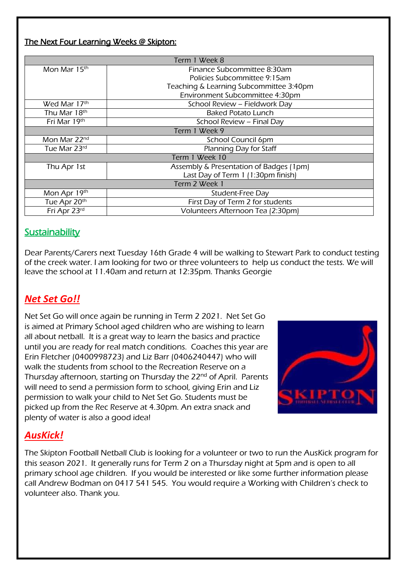#### The Next Four Learning Weeks @ Skipton:

| Term 1 Week 8  |                                         |  |  |  |
|----------------|-----------------------------------------|--|--|--|
| Mon Mar 15th   | Finance Subcommittee 8:30am             |  |  |  |
|                | Policies Subcommittee 9:15am            |  |  |  |
|                | Teaching & Learning Subcommittee 3:40pm |  |  |  |
|                | Environment Subcommittee 4:30pm         |  |  |  |
| Wed Mar 17th   | School Review - Fieldwork Day           |  |  |  |
| Thu Mar 18th   | <b>Baked Potato Lunch</b>               |  |  |  |
| Fri Mar 19th   | School Review - Final Day               |  |  |  |
| Term 1 Week 9  |                                         |  |  |  |
| Mon Mar 22nd   | School Council 6pm                      |  |  |  |
| Tue Mar 23rd   | Planning Day for Staff                  |  |  |  |
| Term 1 Week 10 |                                         |  |  |  |
| Thu Apr 1st    | Assembly & Presentation of Badges (1pm) |  |  |  |
|                | Last Day of Term 1 (1:30pm finish)      |  |  |  |
| Term 2 Week 1  |                                         |  |  |  |
| Mon Apr 19th   | Student-Free Day                        |  |  |  |
| Tue Apr 20th   | First Day of Term 2 for students        |  |  |  |
| Fri Apr 23rd   | Volunteers Afternoon Tea (2:30pm)       |  |  |  |

## **Sustainability**

Dear Parents/Carers next Tuesday 16th Grade 4 will be walking to Stewart Park to conduct testing of the creek water. I am looking for two or three volunteers to help us conduct the tests. We will leave the school at 11.40am and return at 12:35pm. Thanks Georgie

# *Net Set Go!!*

Net Set Go will once again be running in Term 2 2021. Net Set Go is aimed at Primary School aged children who are wishing to learn all about netball. It is a great way to learn the basics and practice until you are ready for real match conditions. Coaches this year are Erin Fletcher (0400998723) and Liz Barr (0406240447) who will walk the students from school to the Recreation Reserve on a Thursday afternoon, starting on Thursday the 22<sup>nd</sup> of April. Parents will need to send a permission form to school, giving Erin and Liz permission to walk your child to Net Set Go. Students must be picked up from the Rec Reserve at 4.30pm. An extra snack and plenty of water is also a good idea!



Centacare South West

# *AusKick!*

The Skipton Football Netball Club is looking for a volunteer or two to run the AusKick program for this season 2021. It generally runs for Term 2 on a Thursday night at 5pm and is open to all primary school age children. If you would be interested or like some further information please call Andrew Bodman on 0417 541 545. You would require a Working with Children's check to volunteer also. Thank you.